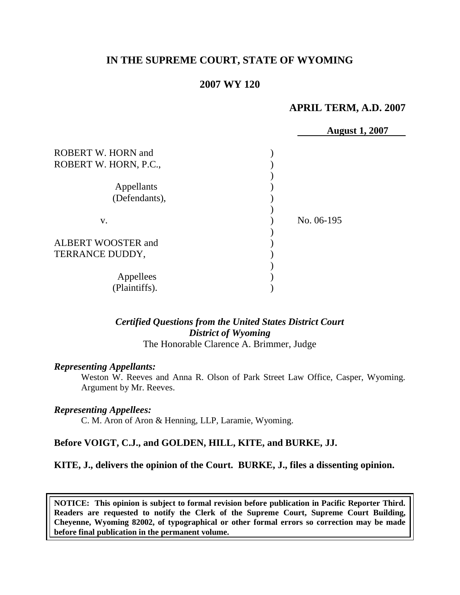# **IN THE SUPREME COURT, STATE OF WYOMING**

### **2007 WY 120**

### **APRIL TERM, A.D. 2007**

|                           | <b>August 1, 2007</b> |
|---------------------------|-----------------------|
|                           |                       |
| <b>ROBERT W. HORN and</b> |                       |
| ROBERT W. HORN, P.C.,     |                       |
|                           |                       |
| Appellants                |                       |
| (Defendants),             |                       |
|                           |                       |
| V.                        | No. 06-195            |
|                           |                       |
| ALBERT WOOSTER and        |                       |
| TERRANCE DUDDY,           |                       |
|                           |                       |
| Appellees                 |                       |
| (Plaintiffs).             |                       |

# *Certified Questions from the United States District Court District of Wyoming*

The Honorable Clarence A. Brimmer, Judge

#### *Representing Appellants:*

Weston W. Reeves and Anna R. Olson of Park Street Law Office, Casper, Wyoming. Argument by Mr. Reeves.

#### *Representing Appellees:*

C. M. Aron of Aron & Henning, LLP, Laramie, Wyoming.

#### **Before VOIGT, C.J., and GOLDEN, HILL, KITE, and BURKE, JJ.**

#### **KITE, J., delivers the opinion of the Court. BURKE, J., files a dissenting opinion.**

**NOTICE: This opinion is subject to formal revision before publication in Pacific Reporter Third. Readers are requested to notify the Clerk of the Supreme Court, Supreme Court Building, Cheyenne, Wyoming 82002, of typographical or other formal errors so correction may be made before final publication in the permanent volume.**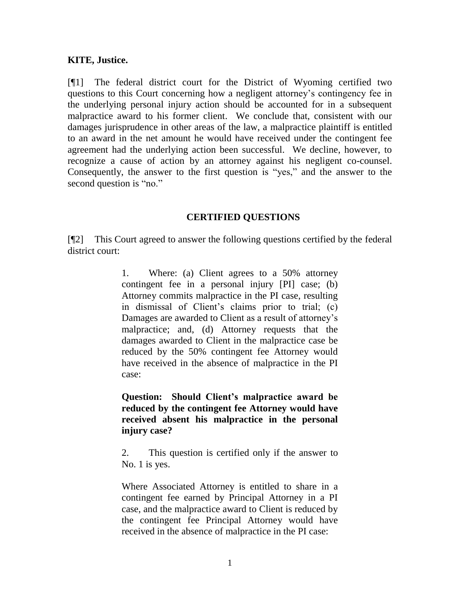## **KITE, Justice.**

[¶1] The federal district court for the District of Wyoming certified two questions to this Court concerning how a negligent attorney"s contingency fee in the underlying personal injury action should be accounted for in a subsequent malpractice award to his former client. We conclude that, consistent with our damages jurisprudence in other areas of the law, a malpractice plaintiff is entitled to an award in the net amount he would have received under the contingent fee agreement had the underlying action been successful. We decline, however, to recognize a cause of action by an attorney against his negligent co-counsel. Consequently, the answer to the first question is "yes," and the answer to the second question is "no."

### **CERTIFIED QUESTIONS**

[¶2] This Court agreed to answer the following questions certified by the federal district court:

> 1. Where: (a) Client agrees to a 50% attorney contingent fee in a personal injury [PI] case; (b) Attorney commits malpractice in the PI case, resulting in dismissal of Client"s claims prior to trial; (c) Damages are awarded to Client as a result of attorney"s malpractice; and, (d) Attorney requests that the damages awarded to Client in the malpractice case be reduced by the 50% contingent fee Attorney would have received in the absence of malpractice in the PI case:

> **Question: Should Client's malpractice award be reduced by the contingent fee Attorney would have received absent his malpractice in the personal injury case?**

> 2. This question is certified only if the answer to No. 1 is yes.

> Where Associated Attorney is entitled to share in a contingent fee earned by Principal Attorney in a PI case, and the malpractice award to Client is reduced by the contingent fee Principal Attorney would have received in the absence of malpractice in the PI case: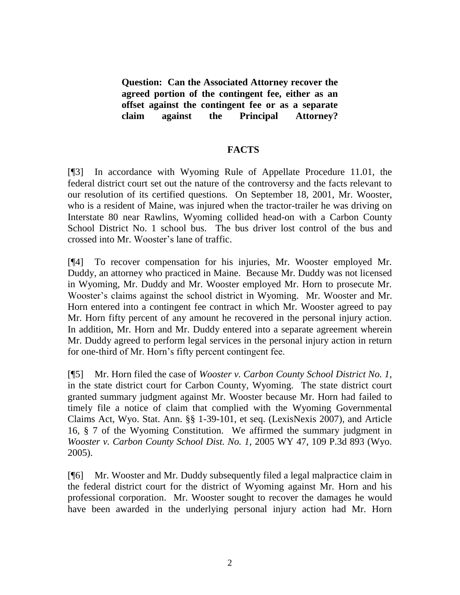**Question: Can the Associated Attorney recover the agreed portion of the contingent fee, either as an offset against the contingent fee or as a separate claim against the Principal Attorney?**

### **FACTS**

[¶3] In accordance with Wyoming Rule of Appellate Procedure 11.01, the federal district court set out the nature of the controversy and the facts relevant to our resolution of its certified questions. On September 18, 2001, Mr. Wooster, who is a resident of Maine, was injured when the tractor-trailer he was driving on Interstate 80 near Rawlins, Wyoming collided head-on with a Carbon County School District No. 1 school bus. The bus driver lost control of the bus and crossed into Mr. Wooster"s lane of traffic.

[¶4] To recover compensation for his injuries, Mr. Wooster employed Mr. Duddy, an attorney who practiced in Maine. Because Mr. Duddy was not licensed in Wyoming, Mr. Duddy and Mr. Wooster employed Mr. Horn to prosecute Mr. Wooster's claims against the school district in Wyoming. Mr. Wooster and Mr. Horn entered into a contingent fee contract in which Mr. Wooster agreed to pay Mr. Horn fifty percent of any amount he recovered in the personal injury action. In addition, Mr. Horn and Mr. Duddy entered into a separate agreement wherein Mr. Duddy agreed to perform legal services in the personal injury action in return for one-third of Mr. Horn"s fifty percent contingent fee.

[¶5] Mr. Horn filed the case of *Wooster v. Carbon County School District No. 1,*  in the state district court for Carbon County, Wyoming. The state district court granted summary judgment against Mr. Wooster because Mr. Horn had failed to timely file a notice of claim that complied with the Wyoming Governmental Claims Act, Wyo. Stat. Ann. §§ 1-39-101, et seq. (LexisNexis 2007), and Article 16, § 7 of the Wyoming Constitution. We affirmed the summary judgment in *Wooster v. Carbon County School Dist. No. 1,* 2005 WY 47, 109 P.3d 893 (Wyo. 2005).

[¶6] Mr. Wooster and Mr. Duddy subsequently filed a legal malpractice claim in the federal district court for the district of Wyoming against Mr. Horn and his professional corporation. Mr. Wooster sought to recover the damages he would have been awarded in the underlying personal injury action had Mr. Horn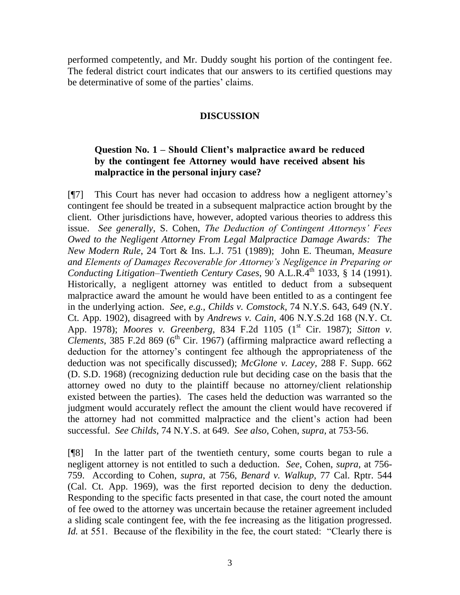performed competently, and Mr. Duddy sought his portion of the contingent fee. The federal district court indicates that our answers to its certified questions may be determinative of some of the parties' claims.

## **DISCUSSION**

# **Question No. 1 – Should Client's malpractice award be reduced by the contingent fee Attorney would have received absent his malpractice in the personal injury case?**

[¶7] This Court has never had occasion to address how a negligent attorney"s contingent fee should be treated in a subsequent malpractice action brought by the client. Other jurisdictions have, however, adopted various theories to address this issue. *See generally*, S. Cohen, *The Deduction of Contingent Attorneys' Fees Owed to the Negligent Attorney From Legal Malpractice Damage Awards: The New Modern Rule*, 24 Tort & Ins. L.J. 751 (1989); John E. Theuman, *Measure and Elements of Damages Recoverable for Attorney's Negligence in Preparing or Conducting Litigation–Twentieth Century Cases*, 90 A.L.R.4<sup>th</sup> 1033, § 14 (1991). Historically, a negligent attorney was entitled to deduct from a subsequent malpractice award the amount he would have been entitled to as a contingent fee in the underlying action. *See, e.g., Childs v. Comstock,* 74 N.Y.S. 643, 649 (N.Y. Ct. App. 1902), disagreed with by *Andrews v. Cain,* 406 N.Y.S.2d 168 (N.Y. Ct. App. 1978); *Moores v. Greenberg*, 834 F.2d 1105 (1<sup>st</sup> Cir. 1987); *Sitton v. Clements,*  $385$  F.2d  $869$  ( $6<sup>th</sup>$  Cir. 1967) (affirming malpractice award reflecting a deduction for the attorney"s contingent fee although the appropriateness of the deduction was not specifically discussed); *McGlone v. Lacey,* 288 F. Supp. 662 (D. S.D. 1968) (recognizing deduction rule but deciding case on the basis that the attorney owed no duty to the plaintiff because no attorney/client relationship existed between the parties). The cases held the deduction was warranted so the judgment would accurately reflect the amount the client would have recovered if the attorney had not committed malpractice and the client"s action had been successful. *See Childs,* 74 N.Y.S. at 649. *See also*, Cohen, *supra,* at 753-56.

[¶8] In the latter part of the twentieth century, some courts began to rule a negligent attorney is not entitled to such a deduction. *See*, Cohen, *supra,* at 756- 759. According to Cohen, *supra*, at 756, *Benard v. Walkup,* 77 Cal. Rptr. 544 (Cal. Ct. App. 1969), was the first reported decision to deny the deduction. Responding to the specific facts presented in that case, the court noted the amount of fee owed to the attorney was uncertain because the retainer agreement included a sliding scale contingent fee, with the fee increasing as the litigation progressed. *Id.* at 551. Because of the flexibility in the fee, the court stated: "Clearly there is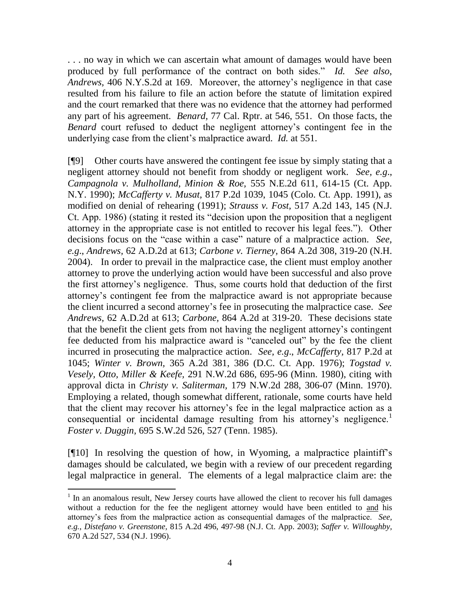. . . no way in which we can ascertain what amount of damages would have been produced by full performance of the contract on both sides." *Id. See also*, *Andrews,* 406 N.Y.S.2d at 169.Moreover, the attorney"s negligence in that case resulted from his failure to file an action before the statute of limitation expired and the court remarked that there was no evidence that the attorney had performed any part of his agreement. *Benard,* 77 Cal. Rptr. at 546, 551. On those facts, the *Benard* court refused to deduct the negligent attorney"s contingent fee in the underlying case from the client"s malpractice award. *Id.* at 551.

[¶9] Other courts have answered the contingent fee issue by simply stating that a negligent attorney should not benefit from shoddy or negligent work. *See, e.g*., *Campagnola v. Mulholland, Minion & Roe,* 555 N.E.2d 611, 614-15 (Ct. App. N.Y. 1990); *McCafferty v. Musat,* 817 P.2d 1039, 1045 (Colo. Ct. App. 1991), as modified on denial of rehearing (1991); *Strauss v. Fost,* 517 A.2d 143, 145 (N.J. Ct. App. 1986) (stating it rested its "decision upon the proposition that a negligent attorney in the appropriate case is not entitled to recover his legal fees."). Other decisions focus on the "case within a case" nature of a malpractice action. *See, e.g*., *Andrews,* 62 A.D.2d at 613; *Carbone v. Tierney,* 864 A.2d 308, 319-20 (N.H. 2004). In order to prevail in the malpractice case, the client must employ another attorney to prove the underlying action would have been successful and also prove the first attorney"s negligence. Thus, some courts hold that deduction of the first attorney"s contingent fee from the malpractice award is not appropriate because the client incurred a second attorney"s fee in prosecuting the malpractice case. *See Andrews,* 62 A.D.2d at 613; *Carbone,* 864 A.2d at 319-20. These decisions state that the benefit the client gets from not having the negligent attorney"s contingent fee deducted from his malpractice award is "canceled out" by the fee the client incurred in prosecuting the malpractice action. *See, e.g*., *McCafferty,* 817 P.2d at 1045; *Winter v. Brown,* 365 A.2d 381, 386 (D.C. Ct. App. 1976); *Togstad v. Vesely, Otto, Miller & Keefe,* 291 N.W.2d 686, 695-96 (Minn. 1980), citing with approval dicta in *Christy v. Saliterman,* 179 N.W.2d 288, 306-07 (Minn. 1970). Employing a related, though somewhat different, rationale, some courts have held that the client may recover his attorney"s fee in the legal malpractice action as a consequential or incidental damage resulting from his attorney's negligence.<sup>1</sup> *Foster v. Duggin,* 695 S.W.2d 526, 527 (Tenn. 1985).

[¶10] In resolving the question of how, in Wyoming, a malpractice plaintiff"s damages should be calculated, we begin with a review of our precedent regarding legal malpractice in general. The elements of a legal malpractice claim are: the

<sup>&</sup>lt;sup>1</sup> In an anomalous result, New Jersey courts have allowed the client to recover his full damages without a reduction for the fee the negligent attorney would have been entitled to and his attorney"s fees from the malpractice action as consequential damages of the malpractice. *See, e.g.*, *Distefano v. Greenstone,* 815 A.2d 496, 497-98 (N.J. Ct. App. 2003); *Saffer v. Willoughby,*  670 A.2d 527, 534 (N.J. 1996).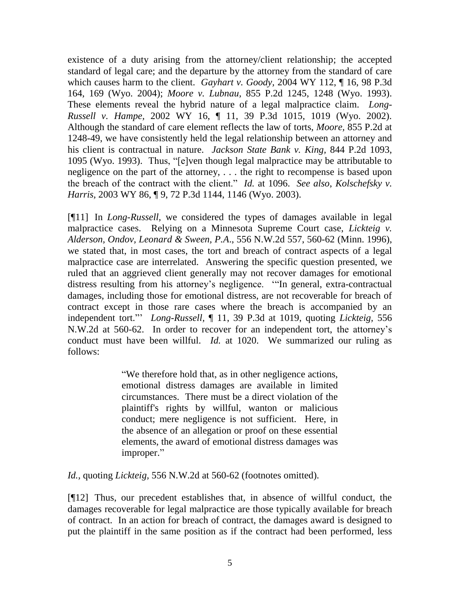existence of a duty arising from the attorney/client relationship; the accepted standard of legal care; and the departure by the attorney from the standard of care which causes harm to the client. *Gayhart v. Goody,* 2004 WY 112, ¶ 16, 98 P.3d 164, 169 (Wyo. 2004); *Moore v. Lubnau,* 855 P.2d 1245, 1248 (Wyo. 1993). These elements reveal the hybrid nature of a legal malpractice claim. *Long-Russell v. Hampe,* 2002 WY 16, ¶ 11, 39 P.3d 1015, 1019 (Wyo. 2002). Although the standard of care element reflects the law of torts, *Moore,* 855 P.2d at 1248-49, we have consistently held the legal relationship between an attorney and his client is contractual in nature. *Jackson State Bank v. King,* 844 P.2d 1093, 1095 (Wyo. 1993). Thus, "[e]ven though legal malpractice may be attributable to negligence on the part of the attorney, . . . the right to recompense is based upon the breach of the contract with the client." *Id.* at 1096. *See also*, *Kolschefsky v. Harris,* 2003 WY 86, ¶ 9, 72 P.3d 1144, 1146 (Wyo. 2003).

[¶11] In *Long-Russell,* we considered the types of damages available in legal malpractice cases. Relying on a Minnesota Supreme Court case, *Lickteig v. Alderson, Ondov, Leonard & Sween, P.A*., 556 N.W.2d 557, 560-62 (Minn. 1996), we stated that, in most cases, the tort and breach of contract aspects of a legal malpractice case are interrelated. Answering the specific question presented, we ruled that an aggrieved client generally may not recover damages for emotional distress resulting from his attorney's negligence. "In general, extra-contractual damages, including those for emotional distress, are not recoverable for breach of contract except in those rare cases where the breach is accompanied by an independent tort."" *Long-Russell,* ¶ 11, 39 P.3d at 1019, quoting *Lickteig,* 556 N.W.2d at 560-62. In order to recover for an independent tort, the attorney"s conduct must have been willful. *Id.* at 1020. We summarized our ruling as follows:

> "We therefore hold that, as in other negligence actions, emotional distress damages are available in limited circumstances. There must be a direct violation of the plaintiff's rights by willful, wanton or malicious conduct; mere negligence is not sufficient. Here, in the absence of an allegation or proof on these essential elements, the award of emotional distress damages was improper."

*Id.,* quoting *Lickteig,* 556 N.W.2d at 560-62 (footnotes omitted).

[¶12] Thus, our precedent establishes that, in absence of willful conduct, the damages recoverable for legal malpractice are those typically available for breach of contract. In an action for breach of contract, the damages award is designed to put the plaintiff in the same position as if the contract had been performed, less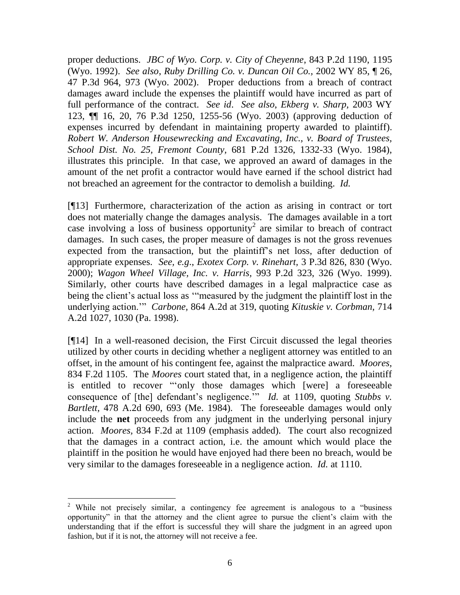proper deductions. *JBC of Wyo. Corp. v. City of Cheyenne*, 843 P.2d 1190, 1195 (Wyo. 1992). *See also*, *Ruby Drilling Co. v. Duncan Oil Co.,* 2002 WY 85, ¶ 26, 47 P.3d 964, 973 (Wyo. 2002). Proper deductions from a breach of contract damages award include the expenses the plaintiff would have incurred as part of full performance of the contract. *See id*. *See also*, *Ekberg v. Sharp,* 2003 WY 123, ¶¶ 16, 20, 76 P.3d 1250, 1255-56 (Wyo. 2003) (approving deduction of expenses incurred by defendant in maintaining property awarded to plaintiff). *Robert W. Anderson Housewrecking and Excavating, Inc., v. Board of Trustees, School Dist. No. 25, Fremont County,* 681 P.2d 1326, 1332-33 (Wyo. 1984), illustrates this principle. In that case, we approved an award of damages in the amount of the net profit a contractor would have earned if the school district had not breached an agreement for the contractor to demolish a building. *Id.* 

[¶13] Furthermore, characterization of the action as arising in contract or tort does not materially change the damages analysis. The damages available in a tort case involving a loss of business opportunity<sup>2</sup> are similar to breach of contract damages. In such cases, the proper measure of damages is not the gross revenues expected from the transaction, but the plaintiff"s net loss, after deduction of appropriate expenses. *See, e.g*., *Exotex Corp. v. Rinehart,* 3 P.3d 826, 830 (Wyo. 2000); *Wagon Wheel Village, Inc. v. Harris,* 993 P.2d 323, 326 (Wyo. 1999). Similarly, other courts have described damages in a legal malpractice case as being the client's actual loss as "measured by the judgment the plaintiff lost in the underlying action."" *Carbone,* 864 A.2d at 319, quoting *Kituskie v. Corbman,* 714 A.2d 1027, 1030 (Pa. 1998).

[¶14] In a well-reasoned decision, the First Circuit discussed the legal theories utilized by other courts in deciding whether a negligent attorney was entitled to an offset, in the amount of his contingent fee, against the malpractice award. *Moores,*  834 F.2d 1105. The *Moores* court stated that, in a negligence action, the plaintiff is entitled to recover ""only those damages which [were] a foreseeable consequence of [the] defendant's negligence." *Id.* at 1109, quoting *Stubbs v. Bartlett,* 478 A.2d 690, 693 (Me. 1984). The foreseeable damages would only include the **net** proceeds from any judgment in the underlying personal injury action. *Moores,* 834 F.2d at 1109 (emphasis added).The court also recognized that the damages in a contract action, i.e. the amount which would place the plaintiff in the position he would have enjoyed had there been no breach, would be very similar to the damages foreseeable in a negligence action. *Id.* at 1110.

 $\overline{a}$ <sup>2</sup> While not precisely similar, a contingency fee agreement is analogous to a "business" opportunity" in that the attorney and the client agree to pursue the client"s claim with the understanding that if the effort is successful they will share the judgment in an agreed upon fashion, but if it is not, the attorney will not receive a fee.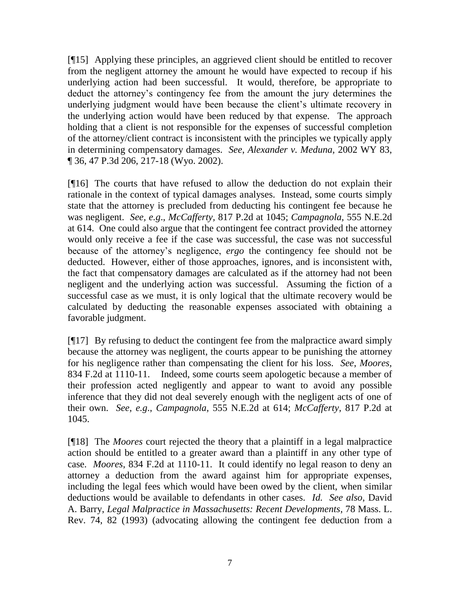[¶15] Applying these principles, an aggrieved client should be entitled to recover from the negligent attorney the amount he would have expected to recoup if his underlying action had been successful. It would, therefore, be appropriate to deduct the attorney"s contingency fee from the amount the jury determines the underlying judgment would have been because the client"s ultimate recovery in the underlying action would have been reduced by that expense. The approach holding that a client is not responsible for the expenses of successful completion of the attorney/client contract is inconsistent with the principles we typically apply in determining compensatory damages. *See*, *Alexander v. Meduna,* 2002 WY 83, ¶ 36, 47 P.3d 206, 217-18 (Wyo. 2002).

[¶16] The courts that have refused to allow the deduction do not explain their rationale in the context of typical damages analyses. Instead, some courts simply state that the attorney is precluded from deducting his contingent fee because he was negligent. *See, e.g*., *McCafferty,* 817 P.2d at 1045; *Campagnola,* 555 N.E.2d at 614. One could also argue that the contingent fee contract provided the attorney would only receive a fee if the case was successful, the case was not successful because of the attorney"s negligence, *ergo* the contingency fee should not be deducted. However, either of those approaches, ignores, and is inconsistent with, the fact that compensatory damages are calculated as if the attorney had not been negligent and the underlying action was successful. Assuming the fiction of a successful case as we must, it is only logical that the ultimate recovery would be calculated by deducting the reasonable expenses associated with obtaining a favorable judgment.

[¶17] By refusing to deduct the contingent fee from the malpractice award simply because the attorney was negligent, the courts appear to be punishing the attorney for his negligence rather than compensating the client for his loss. *See*, *Moores,*  834 F.2d at 1110-11. Indeed, some courts seem apologetic because a member of their profession acted negligently and appear to want to avoid any possible inference that they did not deal severely enough with the negligent acts of one of their own. *See, e.g*., *Campagnola,* 555 N.E.2d at 614; *McCafferty,* 817 P.2d at 1045.

[¶18] The *Moores* court rejected the theory that a plaintiff in a legal malpractice action should be entitled to a greater award than a plaintiff in any other type of case. *Moores*, 834 F.2d at 1110-11. It could identify no legal reason to deny an attorney a deduction from the award against him for appropriate expenses, including the legal fees which would have been owed by the client, when similar deductions would be available to defendants in other cases. *Id. See also*, David A. Barry, *Legal Malpractice in Massachusetts: Recent Developments*, 78 Mass. L. Rev. 74, 82 (1993) (advocating allowing the contingent fee deduction from a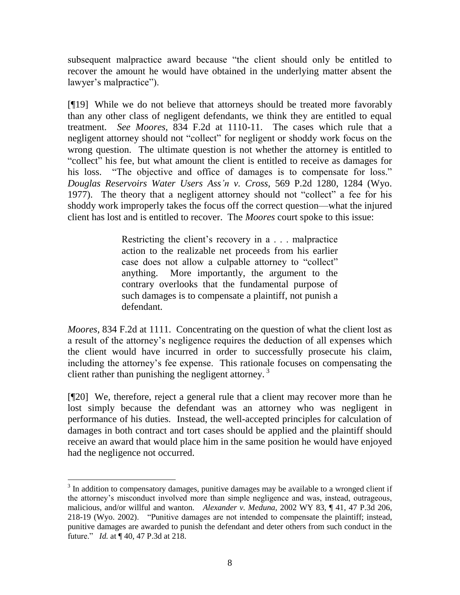subsequent malpractice award because "the client should only be entitled to recover the amount he would have obtained in the underlying matter absent the lawyer's malpractice").

[¶19] While we do not believe that attorneys should be treated more favorably than any other class of negligent defendants, we think they are entitled to equal treatment. *See Moores,* 834 F.2d at 1110-11. The cases which rule that a negligent attorney should not "collect" for negligent or shoddy work focus on the wrong question. The ultimate question is not whether the attorney is entitled to "collect" his fee, but what amount the client is entitled to receive as damages for his loss. "The objective and office of damages is to compensate for loss." *Douglas Reservoirs Water Users Ass'n v. Cross,* 569 P.2d 1280, 1284 (Wyo. 1977). The theory that a negligent attorney should not "collect" a fee for his shoddy work improperly takes the focus off the correct question—what the injured client has lost and is entitled to recover. The *Moores* court spoke to this issue:

> Restricting the client"s recovery in a . . . malpractice action to the realizable net proceeds from his earlier case does not allow a culpable attorney to "collect" anything. More importantly, the argument to the contrary overlooks that the fundamental purpose of such damages is to compensate a plaintiff, not punish a defendant.

*Moores,* 834 F.2d at 1111. Concentrating on the question of what the client lost as a result of the attorney"s negligence requires the deduction of all expenses which the client would have incurred in order to successfully prosecute his claim, including the attorney's fee expense. This rationale focuses on compensating the client rather than punishing the negligent attorney.<sup>3</sup>

[¶20] We, therefore, reject a general rule that a client may recover more than he lost simply because the defendant was an attorney who was negligent in performance of his duties. Instead, the well-accepted principles for calculation of damages in both contract and tort cases should be applied and the plaintiff should receive an award that would place him in the same position he would have enjoyed had the negligence not occurred.

 $3$  In addition to compensatory damages, punitive damages may be available to a wronged client if the attorney"s misconduct involved more than simple negligence and was, instead, outrageous, malicious, and/or willful and wanton. *Alexander v. Meduna,* 2002 WY 83, ¶ 41, 47 P.3d 206, 218-19 (Wyo. 2002). "Punitive damages are not intended to compensate the plaintiff; instead, punitive damages are awarded to punish the defendant and deter others from such conduct in the future." *Id.* at ¶ 40, 47 P.3d at 218.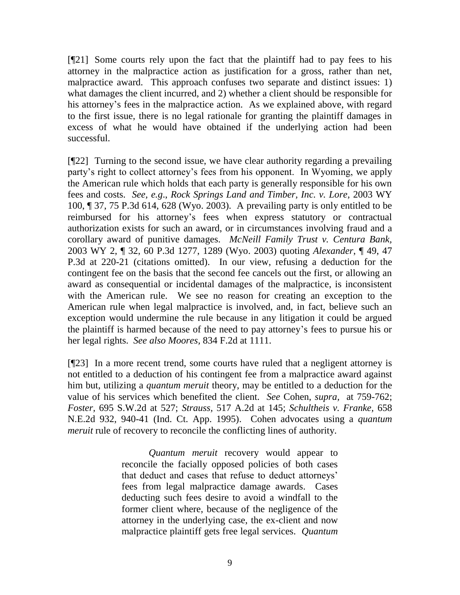[¶21] Some courts rely upon the fact that the plaintiff had to pay fees to his attorney in the malpractice action as justification for a gross, rather than net, malpractice award. This approach confuses two separate and distinct issues: 1) what damages the client incurred, and 2) whether a client should be responsible for his attorney's fees in the malpractice action. As we explained above, with regard to the first issue, there is no legal rationale for granting the plaintiff damages in excess of what he would have obtained if the underlying action had been successful.

[¶22] Turning to the second issue, we have clear authority regarding a prevailing party"s right to collect attorney"s fees from his opponent. In Wyoming, we apply the American rule which holds that each party is generally responsible for his own fees and costs. *See, e.g*., *Rock Springs Land and Timber, Inc. v. Lore,* 2003 WY 100, ¶ 37, 75 P.3d 614, 628 (Wyo. 2003). A prevailing party is only entitled to be reimbursed for his attorney"s fees when express statutory or contractual authorization exists for such an award, or in circumstances involving fraud and a corollary award of punitive damages. *McNeill Family Trust v. Centura Bank,* 2003 WY 2, ¶ 32, 60 P.3d 1277, 1289 (Wyo. 2003) quoting *Alexander*, ¶ 49, 47 P.3d at 220-21 (citations omitted). In our view, refusing a deduction for the contingent fee on the basis that the second fee cancels out the first, or allowing an award as consequential or incidental damages of the malpractice, is inconsistent with the American rule. We see no reason for creating an exception to the American rule when legal malpractice is involved, and, in fact, believe such an exception would undermine the rule because in any litigation it could be argued the plaintiff is harmed because of the need to pay attorney"s fees to pursue his or her legal rights. *See also Moores,* 834 F.2d at 1111.

[¶23] In a more recent trend, some courts have ruled that a negligent attorney is not entitled to a deduction of his contingent fee from a malpractice award against him but, utilizing a *quantum meruit* theory, may be entitled to a deduction for the value of his services which benefited the client. *See* Cohen, *supra,* at 759-762; *Foster,* 695 S.W.2d at 527; *Strauss,* 517 A.2d at 145; *Schultheis v. Franke,* 658 N.E.2d 932, 940-41 (Ind. Ct. App. 1995). Cohen advocates using a *quantum meruit* rule of recovery to reconcile the conflicting lines of authority.

> *Quantum meruit* recovery would appear to reconcile the facially opposed policies of both cases that deduct and cases that refuse to deduct attorneys" fees from legal malpractice damage awards. Cases deducting such fees desire to avoid a windfall to the former client where, because of the negligence of the attorney in the underlying case, the ex-client and now malpractice plaintiff gets free legal services. *Quantum*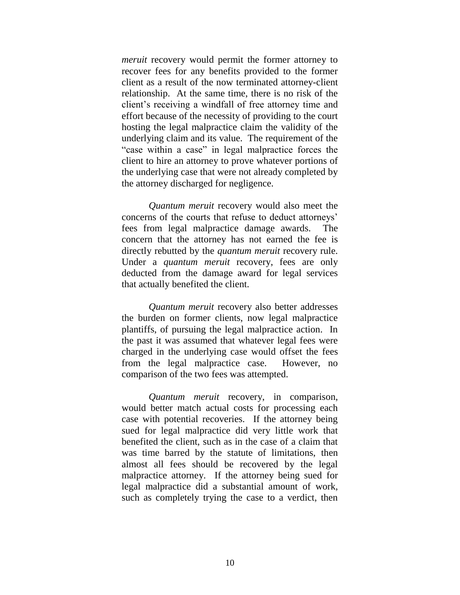*meruit* recovery would permit the former attorney to recover fees for any benefits provided to the former client as a result of the now terminated attorney-client relationship. At the same time, there is no risk of the client"s receiving a windfall of free attorney time and effort because of the necessity of providing to the court hosting the legal malpractice claim the validity of the underlying claim and its value. The requirement of the "case within a case" in legal malpractice forces the client to hire an attorney to prove whatever portions of the underlying case that were not already completed by the attorney discharged for negligence.

*Quantum meruit* recovery would also meet the concerns of the courts that refuse to deduct attorneys" fees from legal malpractice damage awards. The concern that the attorney has not earned the fee is directly rebutted by the *quantum meruit* recovery rule. Under a *quantum meruit* recovery, fees are only deducted from the damage award for legal services that actually benefited the client.

*Quantum meruit* recovery also better addresses the burden on former clients, now legal malpractice plantiffs, of pursuing the legal malpractice action. In the past it was assumed that whatever legal fees were charged in the underlying case would offset the fees from the legal malpractice case. However, no comparison of the two fees was attempted.

*Quantum meruit* recovery, in comparison, would better match actual costs for processing each case with potential recoveries. If the attorney being sued for legal malpractice did very little work that benefited the client, such as in the case of a claim that was time barred by the statute of limitations, then almost all fees should be recovered by the legal malpractice attorney. If the attorney being sued for legal malpractice did a substantial amount of work, such as completely trying the case to a verdict, then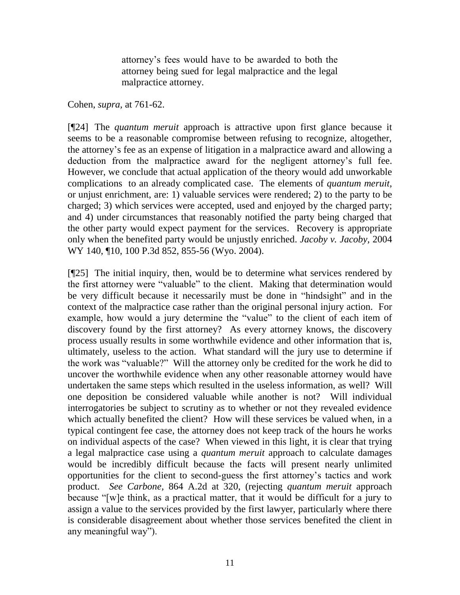attorney"s fees would have to be awarded to both the attorney being sued for legal malpractice and the legal malpractice attorney.

Cohen, *supra,* at 761-62.

[¶24] The *quantum meruit* approach is attractive upon first glance because it seems to be a reasonable compromise between refusing to recognize, altogether, the attorney"s fee as an expense of litigation in a malpractice award and allowing a deduction from the malpractice award for the negligent attorney's full fee. However, we conclude that actual application of the theory would add unworkable complications to an already complicated case. The elements of *quantum meruit*, or unjust enrichment, are: 1) valuable services were rendered; 2) to the party to be charged; 3) which services were accepted, used and enjoyed by the charged party; and 4) under circumstances that reasonably notified the party being charged that the other party would expect payment for the services. Recovery is appropriate only when the benefited party would be unjustly enriched. *Jacoby v. Jacoby,* 2004 WY 140, ¶10, 100 P.3d 852, 855-56 (Wyo. 2004).

[¶25] The initial inquiry, then, would be to determine what services rendered by the first attorney were "valuable" to the client. Making that determination would be very difficult because it necessarily must be done in "hindsight" and in the context of the malpractice case rather than the original personal injury action. For example, how would a jury determine the "value" to the client of each item of discovery found by the first attorney? As every attorney knows, the discovery process usually results in some worthwhile evidence and other information that is, ultimately, useless to the action. What standard will the jury use to determine if the work was "valuable?" Will the attorney only be credited for the work he did to uncover the worthwhile evidence when any other reasonable attorney would have undertaken the same steps which resulted in the useless information, as well? Will one deposition be considered valuable while another is not? Will individual interrogatories be subject to scrutiny as to whether or not they revealed evidence which actually benefited the client? How will these services be valued when, in a typical contingent fee case, the attorney does not keep track of the hours he works on individual aspects of the case? When viewed in this light, it is clear that trying a legal malpractice case using a *quantum meruit* approach to calculate damages would be incredibly difficult because the facts will present nearly unlimited opportunities for the client to second-guess the first attorney"s tactics and work product. *See Carbone,* 864 A.2d at 320, (rejecting *quantum meruit* approach because "[w]e think, as a practical matter, that it would be difficult for a jury to assign a value to the services provided by the first lawyer, particularly where there is considerable disagreement about whether those services benefited the client in any meaningful way").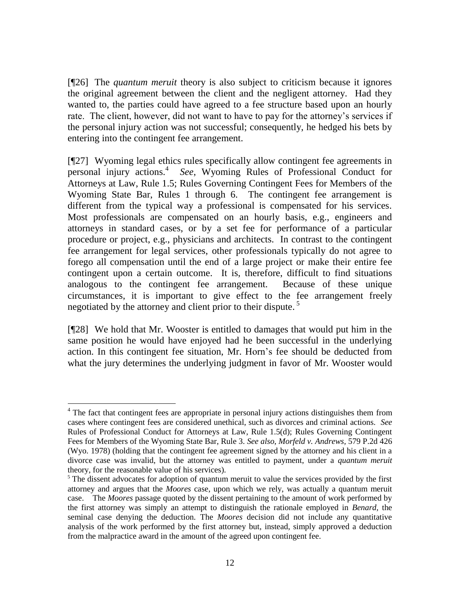[¶26] The *quantum meruit* theory is also subject to criticism because it ignores the original agreement between the client and the negligent attorney. Had they wanted to, the parties could have agreed to a fee structure based upon an hourly rate. The client, however, did not want to have to pay for the attorney"s services if the personal injury action was not successful; consequently, he hedged his bets by entering into the contingent fee arrangement.

[¶27] Wyoming legal ethics rules specifically allow contingent fee agreements in personal injury actions.<sup>4</sup> *See*, Wyoming Rules of Professional Conduct for Attorneys at Law, Rule 1.5; Rules Governing Contingent Fees for Members of the Wyoming State Bar, Rules 1 through 6. The contingent fee arrangement is different from the typical way a professional is compensated for his services. Most professionals are compensated on an hourly basis, e.g., engineers and attorneys in standard cases, or by a set fee for performance of a particular procedure or project, e.g., physicians and architects. In contrast to the contingent fee arrangement for legal services, other professionals typically do not agree to forego all compensation until the end of a large project or make their entire fee contingent upon a certain outcome. It is, therefore, difficult to find situations analogous to the contingent fee arrangement. Because of these unique circumstances, it is important to give effect to the fee arrangement freely negotiated by the attorney and client prior to their dispute.<sup>5</sup>

[¶28] We hold that Mr. Wooster is entitled to damages that would put him in the same position he would have enjoyed had he been successful in the underlying action. In this contingent fee situation, Mr. Horn"s fee should be deducted from what the jury determines the underlying judgment in favor of Mr. Wooster would

 $\overline{a}$ <sup>4</sup> The fact that contingent fees are appropriate in personal injury actions distinguishes them from cases where contingent fees are considered unethical, such as divorces and criminal actions. *See* Rules of Professional Conduct for Attorneys at Law, Rule 1.5(d); Rules Governing Contingent Fees for Members of the Wyoming State Bar, Rule 3. *See also*, *Morfeld v. Andrews,* 579 P.2d 426 (Wyo. 1978) (holding that the contingent fee agreement signed by the attorney and his client in a divorce case was invalid, but the attorney was entitled to payment, under a *quantum meruit* theory, for the reasonable value of his services).

 $5$  The dissent advocates for adoption of quantum meruit to value the services provided by the first attorney and argues that the *Moores* case, upon which we rely, was actually a quantum meruit case. The *Moores* passage quoted by the dissent pertaining to the amount of work performed by the first attorney was simply an attempt to distinguish the rationale employed in *Benard,* the seminal case denying the deduction*.* The *Moores* decision did not include any quantitative analysis of the work performed by the first attorney but, instead, simply approved a deduction from the malpractice award in the amount of the agreed upon contingent fee.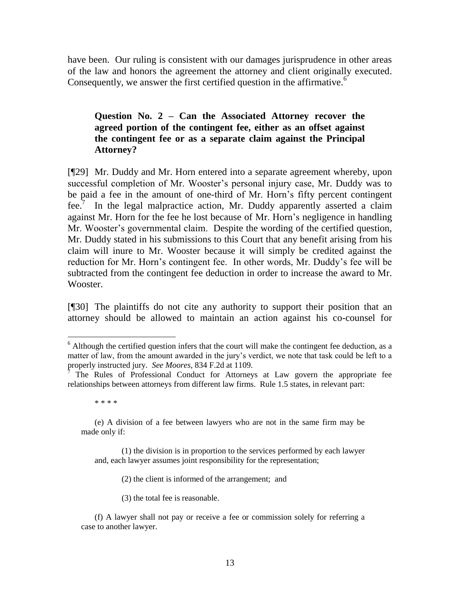have been. Our ruling is consistent with our damages jurisprudence in other areas of the law and honors the agreement the attorney and client originally executed. Consequently, we answer the first certified question in the affirmative. $6$ 

# **Question No. 2 – Can the Associated Attorney recover the agreed portion of the contingent fee, either as an offset against the contingent fee or as a separate claim against the Principal Attorney?**

[¶29] Mr. Duddy and Mr. Horn entered into a separate agreement whereby, upon successful completion of Mr. Wooster's personal injury case, Mr. Duddy was to be paid a fee in the amount of one-third of Mr. Horn"s fifty percent contingent  $fee.'$  In the legal malpractice action, Mr. Duddy apparently asserted a claim against Mr. Horn for the fee he lost because of Mr. Horn"s negligence in handling Mr. Wooster's governmental claim. Despite the wording of the certified question, Mr. Duddy stated in his submissions to this Court that any benefit arising from his claim will inure to Mr. Wooster because it will simply be credited against the reduction for Mr. Horn"s contingent fee. In other words, Mr. Duddy"s fee will be subtracted from the contingent fee deduction in order to increase the award to Mr. Wooster.

[¶30] The plaintiffs do not cite any authority to support their position that an attorney should be allowed to maintain an action against his co-counsel for

 $\overline{a}$ 

(2) the client is informed of the arrangement; and

(3) the total fee is reasonable.

 $6$  Although the certified question infers that the court will make the contingent fee deduction, as a matter of law, from the amount awarded in the jury's verdict, we note that task could be left to a properly instructed jury. *See Moores,* 834 F.2d at 1109.

<sup>7</sup> The Rules of Professional Conduct for Attorneys at Law govern the appropriate fee relationships between attorneys from different law firms. Rule 1.5 states, in relevant part:

<sup>\* \* \* \*</sup>

<sup>(</sup>e) A division of a fee between lawyers who are not in the same firm may be made only if:

<sup>(1)</sup> the division is in proportion to the services performed by each lawyer and, each lawyer assumes joint responsibility for the representation;

<sup>(</sup>f) A lawyer shall not pay or receive a fee or commission solely for referring a case to another lawyer.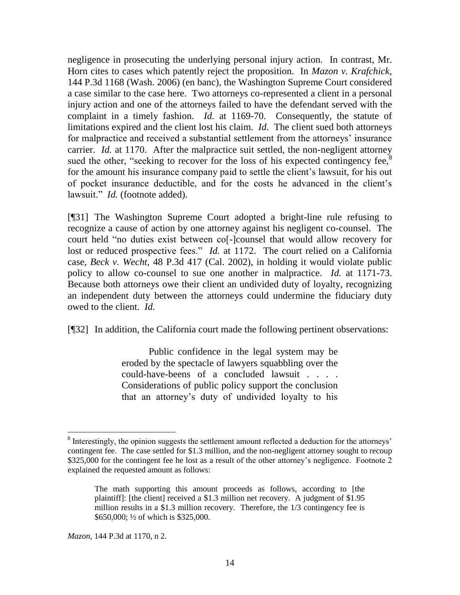negligence in prosecuting the underlying personal injury action. In contrast, Mr. Horn cites to cases which patently reject the proposition. In *Mazon v. Krafchick,*  144 P.3d 1168 (Wash. 2006) (en banc), the Washington Supreme Court considered a case similar to the case here. Two attorneys co-represented a client in a personal injury action and one of the attorneys failed to have the defendant served with the complaint in a timely fashion. *Id.* at 1169-70. Consequently, the statute of limitations expired and the client lost his claim. *Id.* The client sued both attorneys for malpractice and received a substantial settlement from the attorneys' insurance carrier. *Id.* at 1170. After the malpractice suit settled, the non-negligent attorney sued the other, "seeking to recover for the loss of his expected contingency fee, $8$ for the amount his insurance company paid to settle the client"s lawsuit, for his out of pocket insurance deductible, and for the costs he advanced in the client"s lawsuit." *Id.* (footnote added).

[¶31] The Washington Supreme Court adopted a bright-line rule refusing to recognize a cause of action by one attorney against his negligent co-counsel. The court held "no duties exist between co[-]counsel that would allow recovery for lost or reduced prospective fees." *Id.* at 1172. The court relied on a California case, *Beck v. Wecht,* 48 P.3d 417 (Cal. 2002), in holding it would violate public policy to allow co-counsel to sue one another in malpractice. *Id.* at 1171-73. Because both attorneys owe their client an undivided duty of loyalty, recognizing an independent duty between the attorneys could undermine the fiduciary duty owed to the client. *Id.* 

[¶32] In addition, the California court made the following pertinent observations:

Public confidence in the legal system may be eroded by the spectacle of lawyers squabbling over the could-have-beens of a concluded lawsuit . . . . Considerations of public policy support the conclusion that an attorney"s duty of undivided loyalty to his

<sup>&</sup>lt;sup>8</sup> Interestingly, the opinion suggests the settlement amount reflected a deduction for the attorneys' contingent fee. The case settled for \$1.3 million, and the non-negligent attorney sought to recoup \$325,000 for the contingent fee he lost as a result of the other attorney's negligence. Footnote 2 explained the requested amount as follows:

The math supporting this amount proceeds as follows, according to [the plaintiff]: [the client] received a \$1.3 million net recovery. A judgment of \$1.95 million results in a \$1.3 million recovery. Therefore, the 1/3 contingency fee is \$650,000; ½ of which is \$325,000.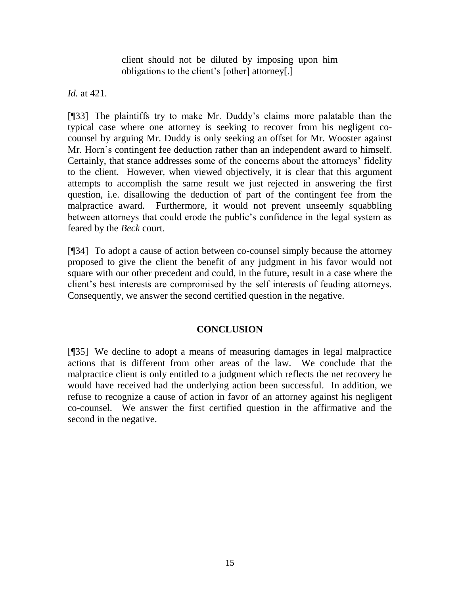client should not be diluted by imposing upon him obligations to the client"s [other] attorney[.]

*Id.* at 421.

[¶33] The plaintiffs try to make Mr. Duddy"s claims more palatable than the typical case where one attorney is seeking to recover from his negligent cocounsel by arguing Mr. Duddy is only seeking an offset for Mr. Wooster against Mr. Horn"s contingent fee deduction rather than an independent award to himself. Certainly, that stance addresses some of the concerns about the attorneys" fidelity to the client. However, when viewed objectively, it is clear that this argument attempts to accomplish the same result we just rejected in answering the first question, i.e. disallowing the deduction of part of the contingent fee from the malpractice award. Furthermore, it would not prevent unseemly squabbling between attorneys that could erode the public"s confidence in the legal system as feared by the *Beck* court.

[¶34] To adopt a cause of action between co-counsel simply because the attorney proposed to give the client the benefit of any judgment in his favor would not square with our other precedent and could, in the future, result in a case where the client"s best interests are compromised by the self interests of feuding attorneys. Consequently, we answer the second certified question in the negative.

# **CONCLUSION**

[¶35] We decline to adopt a means of measuring damages in legal malpractice actions that is different from other areas of the law. We conclude that the malpractice client is only entitled to a judgment which reflects the net recovery he would have received had the underlying action been successful. In addition, we refuse to recognize a cause of action in favor of an attorney against his negligent co-counsel. We answer the first certified question in the affirmative and the second in the negative.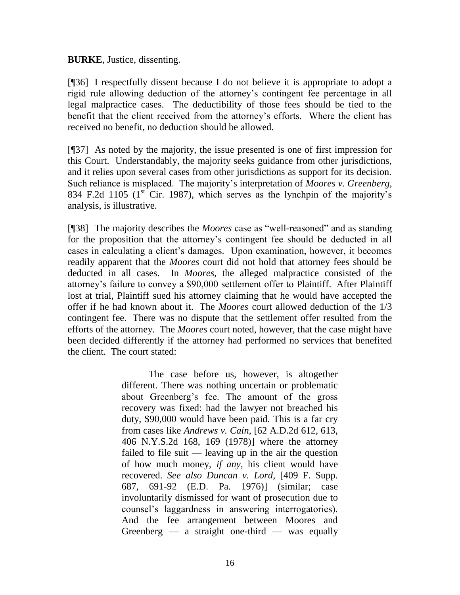**BURKE**, Justice, dissenting.

[¶36] I respectfully dissent because I do not believe it is appropriate to adopt a rigid rule allowing deduction of the attorney"s contingent fee percentage in all legal malpractice cases. The deductibility of those fees should be tied to the benefit that the client received from the attorney"s efforts. Where the client has received no benefit, no deduction should be allowed.

[¶37] As noted by the majority, the issue presented is one of first impression for this Court. Understandably, the majority seeks guidance from other jurisdictions, and it relies upon several cases from other jurisdictions as support for its decision. Such reliance is misplaced. The majority"s interpretation of *Moores v. Greenberg*, 834 F.2d 1105 ( $1<sup>st</sup>$  Cir. 1987), which serves as the lynchpin of the majority's analysis, is illustrative.

[¶38] The majority describes the *Moores* case as "well-reasoned" and as standing for the proposition that the attorney"s contingent fee should be deducted in all cases in calculating a client"s damages. Upon examination, however, it becomes readily apparent that the *Moores* court did not hold that attorney fees should be deducted in all cases. In *Moores*, the alleged malpractice consisted of the attorney"s failure to convey a \$90,000 settlement offer to Plaintiff. After Plaintiff lost at trial, Plaintiff sued his attorney claiming that he would have accepted the offer if he had known about it. The *Moores* court allowed deduction of the 1/3 contingent fee. There was no dispute that the settlement offer resulted from the efforts of the attorney. The *Moores* court noted, however, that the case might have been decided differently if the attorney had performed no services that benefited the client. The court stated:

> The case before us, however, is altogether different. There was nothing uncertain or problematic about Greenberg"s fee. The amount of the gross recovery was fixed: had the lawyer not breached his duty, \$90,000 would have been paid. This is a far cry from cases like *Andrews v. Cain*[, \[62 A.D.2d 612, 613,](http://www.lexis.com/research/buttonTFLink?_m=0f18a78b60e185493cfd20fe5fa5c1be&_xfercite=%3ccite%20cc%3d%22USA%22%3e%3c%21%5bCDATA%5b834%20F.2d%201105%5d%5d%3e%3c%2fcite%3e&_butType=3&_butStat=2&_butNum=85&_butInline=1&_butinfo=%3ccite%20cc%3d%22USA%22%3e%3c%21%5bCDATA%5b62%20A.D.2d%20612%2c%20613%5d%5d%3e%3c%2fcite%3e&_fmtstr=FULL&docnum=1&_startdoc=1&wchp=dGLbVtz-zSkAz&_md5=03d07fdde1fc1b2ca920d46e3d5a482a)  [406 N.Y.S.2d 168, 169 \(1978\)\]](http://www.lexis.com/research/buttonTFLink?_m=0f18a78b60e185493cfd20fe5fa5c1be&_xfercite=%3ccite%20cc%3d%22USA%22%3e%3c%21%5bCDATA%5b834%20F.2d%201105%5d%5d%3e%3c%2fcite%3e&_butType=3&_butStat=2&_butNum=85&_butInline=1&_butinfo=%3ccite%20cc%3d%22USA%22%3e%3c%21%5bCDATA%5b62%20A.D.2d%20612%2c%20613%5d%5d%3e%3c%2fcite%3e&_fmtstr=FULL&docnum=1&_startdoc=1&wchp=dGLbVtz-zSkAz&_md5=03d07fdde1fc1b2ca920d46e3d5a482a) where the attorney failed to file suit — leaving up in the air the question of how much money, *if any*, his client would have recovered. *See also Duncan v. Lord*[, \[409 F. Supp.](http://www.lexis.com/research/buttonTFLink?_m=6875d919e7ee3a84c4547424a1140ea9&_xfercite=%3ccite%20cc%3d%22USA%22%3e%3c%21%5bCDATA%5b834%20F.2d%201105%5d%5d%3e%3c%2fcite%3e&_butType=3&_butStat=2&_butNum=110&_butInline=1&_butinfo=%3ccite%20cc%3d%22USA%22%3e%3c%21%5bCDATA%5b409%20F.%20Supp.%20687%2c%20691%5d%5d%3e%3c%2fcite%3e&_fmtstr=FULL&docnum=1&_startdoc=1&wchp=dGLbVtz-zSkAz&_md5=9e35dc272b245b52a251b744194023fb)  [687, 691-92 \(E.D. Pa. 1976\)\]](http://www.lexis.com/research/buttonTFLink?_m=6875d919e7ee3a84c4547424a1140ea9&_xfercite=%3ccite%20cc%3d%22USA%22%3e%3c%21%5bCDATA%5b834%20F.2d%201105%5d%5d%3e%3c%2fcite%3e&_butType=3&_butStat=2&_butNum=110&_butInline=1&_butinfo=%3ccite%20cc%3d%22USA%22%3e%3c%21%5bCDATA%5b409%20F.%20Supp.%20687%2c%20691%5d%5d%3e%3c%2fcite%3e&_fmtstr=FULL&docnum=1&_startdoc=1&wchp=dGLbVtz-zSkAz&_md5=9e35dc272b245b52a251b744194023fb) (similar; case involuntarily dismissed for want of prosecution due to counsel"s laggardness in answering interrogatories). And the fee arrangement between Moores and Greenberg — a straight one-third — was equally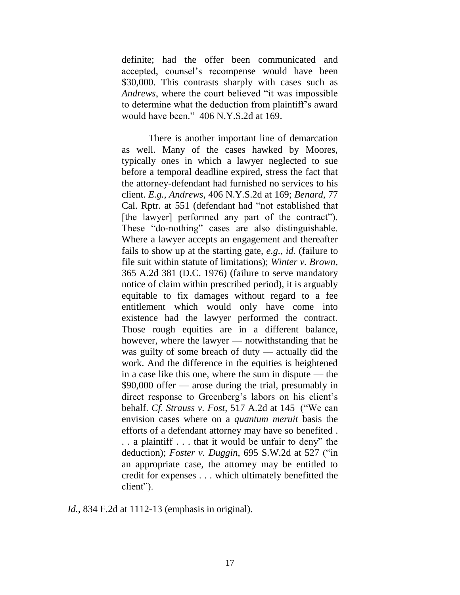definite; had the offer been communicated and accepted, counsel"s recompense would have been \$30,000. This contrasts sharply with cases such as *Andrews*, where the court believed "it was impossible to determine what the deduction from plaintiff"s award would have been." [406 N.Y.S.2d at 169.](http://www.lexis.com/research/buttonTFLink?_m=5aea05655db8e8e6a3ce105b2480c86b&_xfercite=%3ccite%20cc%3d%22USA%22%3e%3c%21%5bCDATA%5b834%20F.2d%201105%5d%5d%3e%3c%2fcite%3e&_butType=3&_butStat=2&_butNum=70&_butInline=1&_butinfo=%3ccite%20cc%3d%22USA%22%3e%3c%21%5bCDATA%5b62%20A.D.2d%20612%5d%5d%3e%3c%2fcite%3e&_fmtstr=FULL&docnum=1&_startdoc=1&wchp=dGLzVlz-zSkAz&_md5=4bdec20c44512ded5ff22b99888a5c3d)

There is another important line of demarcation as well. Many of the cases hawked by Moores, typically ones in which a lawyer neglected to sue before a temporal deadline expired, stress the fact that the attorney-defendant had furnished no services to his client. *E.g., Andrews*[, 406 N.Y.S.2d at 169;](http://www.lexis.com/research/buttonTFLink?_m=5aea05655db8e8e6a3ce105b2480c86b&_xfercite=%3ccite%20cc%3d%22USA%22%3e%3c%21%5bCDATA%5b834%20F.2d%201105%5d%5d%3e%3c%2fcite%3e&_butType=3&_butStat=2&_butNum=71&_butInline=1&_butinfo=%3ccite%20cc%3d%22USA%22%3e%3c%21%5bCDATA%5b62%20A.D.2d%20612%5d%5d%3e%3c%2fcite%3e&_fmtstr=FULL&docnum=1&_startdoc=1&wchp=dGLzVlz-zSkAz&_md5=1ce2c87969a0bb4601b4edb1a66be115) *[Benard](http://www.lexis.com/research/buttonTFLink?_m=5aea05655db8e8e6a3ce105b2480c86b&_xfercite=%3ccite%20cc%3d%22USA%22%3e%3c%21%5bCDATA%5b834%20F.2d%201105%5d%5d%3e%3c%2fcite%3e&_butType=3&_butStat=2&_butNum=72&_butInline=1&_butinfo=%3ccite%20cc%3d%22USA%22%3e%3c%21%5bCDATA%5b272%20Cal.%20App.%202d%20595%5d%5d%3e%3c%2fcite%3e&_fmtstr=FULL&docnum=1&_startdoc=1&wchp=dGLzVlz-zSkAz&_md5=3657236fab717a6381cf9a6c4096079f)*, 77 [Cal. Rptr. at 551](http://www.lexis.com/research/buttonTFLink?_m=5aea05655db8e8e6a3ce105b2480c86b&_xfercite=%3ccite%20cc%3d%22USA%22%3e%3c%21%5bCDATA%5b834%20F.2d%201105%5d%5d%3e%3c%2fcite%3e&_butType=3&_butStat=2&_butNum=72&_butInline=1&_butinfo=%3ccite%20cc%3d%22USA%22%3e%3c%21%5bCDATA%5b272%20Cal.%20App.%202d%20595%5d%5d%3e%3c%2fcite%3e&_fmtstr=FULL&docnum=1&_startdoc=1&wchp=dGLzVlz-zSkAz&_md5=3657236fab717a6381cf9a6c4096079f) (defendant had "not established that [the lawyer] performed any part of the contract"). These "do-nothing" cases are also distinguishable. Where a lawyer accepts an engagement and thereafter fails to show up at the starting gate, *e.g., id.* (failure to file suit within statute of limitations); *[Winter v. Brown](http://www.lexis.com/research/buttonTFLink?_m=5aea05655db8e8e6a3ce105b2480c86b&_xfercite=%3ccite%20cc%3d%22USA%22%3e%3c%21%5bCDATA%5b834%20F.2d%201105%5d%5d%3e%3c%2fcite%3e&_butType=3&_butStat=2&_butNum=73&_butInline=1&_butinfo=%3ccite%20cc%3d%22USA%22%3e%3c%21%5bCDATA%5b365%20A.2d%20381%5d%5d%3e%3c%2fcite%3e&_fmtstr=FULL&docnum=1&_startdoc=1&wchp=dGLzVlz-zSkAz&_md5=1a3fa177fcd324803fc0a3cb8c44e58b)*, [365 A.2d 381 \(D.C. 1976\)](http://www.lexis.com/research/buttonTFLink?_m=5aea05655db8e8e6a3ce105b2480c86b&_xfercite=%3ccite%20cc%3d%22USA%22%3e%3c%21%5bCDATA%5b834%20F.2d%201105%5d%5d%3e%3c%2fcite%3e&_butType=3&_butStat=2&_butNum=73&_butInline=1&_butinfo=%3ccite%20cc%3d%22USA%22%3e%3c%21%5bCDATA%5b365%20A.2d%20381%5d%5d%3e%3c%2fcite%3e&_fmtstr=FULL&docnum=1&_startdoc=1&wchp=dGLzVlz-zSkAz&_md5=1a3fa177fcd324803fc0a3cb8c44e58b) (failure to serve mandatory notice of claim within prescribed period), it is arguably equitable to fix damages without regard to a fee entitlement which would only have come into existence had the lawyer performed the contract. Those rough equities are in a different balance, however, where the lawyer — notwithstanding that he was guilty of some breach of duty — actually did the work. And the difference in the equities is heightened in a case like this one, where the sum in dispute — the \$90,000 offer — arose during the trial, presumably in direct response to Greenberg's labors on his client's behalf. *Cf. Strauss v. Fost*[, 517 A.2d at 145](http://www.lexis.com/research/buttonTFLink?_m=5aea05655db8e8e6a3ce105b2480c86b&_xfercite=%3ccite%20cc%3d%22USA%22%3e%3c%21%5bCDATA%5b834%20F.2d%201105%5d%5d%3e%3c%2fcite%3e&_butType=3&_butStat=2&_butNum=74&_butInline=1&_butinfo=%3ccite%20cc%3d%22USA%22%3e%3c%21%5bCDATA%5b213%20N.J.%20Super.%20239%5d%5d%3e%3c%2fcite%3e&_fmtstr=FULL&docnum=1&_startdoc=1&wchp=dGLzVlz-zSkAz&_md5=0ab9e8322053b982a79f6fa4117b223c) ("We can envision cases where on a *quantum meruit* basis the efforts of a defendant attorney may have so benefited . . . a plaintiff . . . that it would be unfair to deny" the deduction); *Foster v. Duggin*[, 695 S.W.2d at 527](http://www.lexis.com/research/buttonTFLink?_m=5aea05655db8e8e6a3ce105b2480c86b&_xfercite=%3ccite%20cc%3d%22USA%22%3e%3c%21%5bCDATA%5b834%20F.2d%201105%5d%5d%3e%3c%2fcite%3e&_butType=3&_butStat=2&_butNum=75&_butInline=1&_butinfo=%3ccite%20cc%3d%22USA%22%3e%3c%21%5bCDATA%5b695%20S.W.2d%20526%2cat%20527%5d%5d%3e%3c%2fcite%3e&_fmtstr=FULL&docnum=1&_startdoc=1&wchp=dGLzVlz-zSkAz&_md5=8a90c3629d9ab0fce6712d038e5390dc) ("in an appropriate case, the attorney may be entitled to credit for expenses . . . which ultimately benefitted the client").

*Id.*, 834 F.2d at 1112-13 (emphasis in original).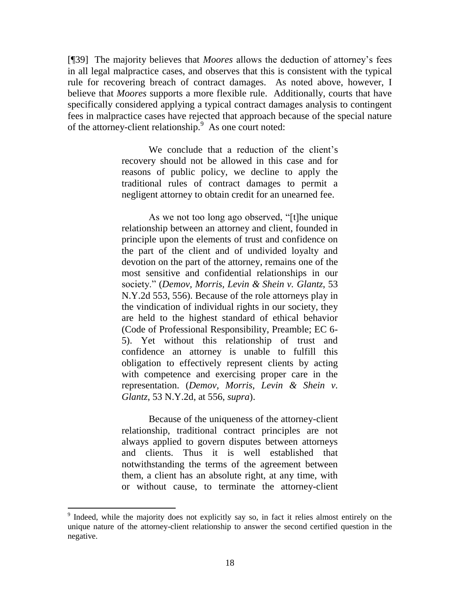[¶39] The majority believes that *Moores* allows the deduction of attorney"s fees in all legal malpractice cases, and observes that this is consistent with the typical rule for recovering breach of contract damages. As noted above, however, I believe that *Moores* supports a more flexible rule. Additionally, courts that have specifically considered applying a typical contract damages analysis to contingent fees in malpractice cases have rejected that approach because of the special nature of the attorney-client relationship.<sup>9</sup> As one court noted:

> We conclude that a reduction of the client's recovery should not be allowed in this case and for reasons of public policy, we decline to apply the traditional rules of contract damages to permit a negligent attorney to obtain credit for an unearned fee.

> As we not too long ago observed, "[t]he unique relationship between an attorney and client, founded in principle upon the elements of trust and confidence on the part of the client and of undivided loyalty and devotion on the part of the attorney, remains one of the most sensitive and confidential relationships in our society." (*[Demov, Morris, Levin & Shein v.](http://www.lexis.com/research/buttonTFLink?_m=694d2d22f7efc857293fb5ec9a7abff5&_xfercite=%3ccite%20cc%3d%22USA%22%3e%3c%21%5bCDATA%5b76%20N.Y.2d%2038%5d%5d%3e%3c%2fcite%3e&_butType=3&_butStat=2&_butNum=55&_butInline=1&_butinfo=%3ccite%20cc%3d%22USA%22%3e%3c%21%5bCDATA%5b53%20N.Y.2d%20553%2c%20556%5d%5d%3e%3c%2fcite%3e&_fmtstr=FULL&docnum=1&_startdoc=1&wchp=dGLbVlb-zSkAk&_md5=f21e2eee7aae83c420bf26e7c1f8b6ed) Glantz*, 53 [N.Y.2d 553, 556\)](http://www.lexis.com/research/buttonTFLink?_m=694d2d22f7efc857293fb5ec9a7abff5&_xfercite=%3ccite%20cc%3d%22USA%22%3e%3c%21%5bCDATA%5b76%20N.Y.2d%2038%5d%5d%3e%3c%2fcite%3e&_butType=3&_butStat=2&_butNum=55&_butInline=1&_butinfo=%3ccite%20cc%3d%22USA%22%3e%3c%21%5bCDATA%5b53%20N.Y.2d%20553%2c%20556%5d%5d%3e%3c%2fcite%3e&_fmtstr=FULL&docnum=1&_startdoc=1&wchp=dGLbVlb-zSkAk&_md5=f21e2eee7aae83c420bf26e7c1f8b6ed). Because of the role attorneys play in the vindication of individual rights in our society, they are held to the highest standard of ethical behavior (Code of Professional Responsibility, Preamble; EC 6- 5). Yet without this relationship of trust and confidence an attorney is unable to fulfill this obligation to effectively represent clients by acting with competence and exercising proper care in the representation. (*[Demov, Morris, Levin & Shein v.](http://www.lexis.com/research/buttonTFLink?_m=694d2d22f7efc857293fb5ec9a7abff5&_xfercite=%3ccite%20cc%3d%22USA%22%3e%3c%21%5bCDATA%5b76%20N.Y.2d%2038%5d%5d%3e%3c%2fcite%3e&_butType=3&_butStat=2&_butNum=56&_butInline=1&_butinfo=%3ccite%20cc%3d%22USA%22%3e%3c%21%5bCDATA%5b53%20N.Y.2d%20553%2c%20556%5d%5d%3e%3c%2fcite%3e&_fmtstr=FULL&docnum=1&_startdoc=1&wchp=dGLbVlb-zSkAk&_md5=85fd50d50d07eb95d7ec79142e2ed78f)  Glantz*[, 53 N.Y.2d, at 556,](http://www.lexis.com/research/buttonTFLink?_m=694d2d22f7efc857293fb5ec9a7abff5&_xfercite=%3ccite%20cc%3d%22USA%22%3e%3c%21%5bCDATA%5b76%20N.Y.2d%2038%5d%5d%3e%3c%2fcite%3e&_butType=3&_butStat=2&_butNum=56&_butInline=1&_butinfo=%3ccite%20cc%3d%22USA%22%3e%3c%21%5bCDATA%5b53%20N.Y.2d%20553%2c%20556%5d%5d%3e%3c%2fcite%3e&_fmtstr=FULL&docnum=1&_startdoc=1&wchp=dGLbVlb-zSkAk&_md5=85fd50d50d07eb95d7ec79142e2ed78f) *supra*).

> Because of the uniqueness of the attorney-client relationship, traditional contract principles are not always applied to govern disputes between attorneys and clients. Thus it is well established that notwithstanding the terms of the agreement between them, a client has an absolute right, at any time, with or without cause, to terminate the attorney-client

<sup>&</sup>lt;sup>9</sup> Indeed, while the majority does not explicitly say so, in fact it relies almost entirely on the unique nature of the attorney-client relationship to answer the second certified question in the negative.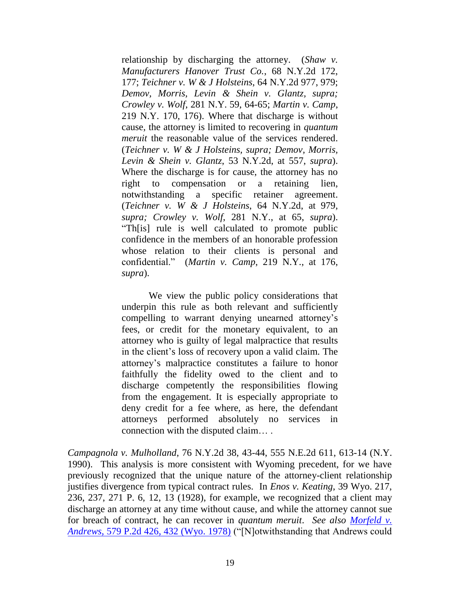relationship by discharging the attorney. (*[Shaw v.](http://www.lexis.com/research/buttonTFLink?_m=694d2d22f7efc857293fb5ec9a7abff5&_xfercite=%3ccite%20cc%3d%22USA%22%3e%3c%21%5bCDATA%5b76%20N.Y.2d%2038%5d%5d%3e%3c%2fcite%3e&_butType=3&_butStat=2&_butNum=58&_butInline=1&_butinfo=%3ccite%20cc%3d%22USA%22%3e%3c%21%5bCDATA%5b68%20N.Y.2d%20172%2c%20177%5d%5d%3e%3c%2fcite%3e&_fmtstr=FULL&docnum=1&_startdoc=1&wchp=dGLbVlb-zSkAk&_md5=056e2b4bdd770be1d1d4d8e3f1bd301b) [Manufacturers Hanover Trust Co.](http://www.lexis.com/research/buttonTFLink?_m=694d2d22f7efc857293fb5ec9a7abff5&_xfercite=%3ccite%20cc%3d%22USA%22%3e%3c%21%5bCDATA%5b76%20N.Y.2d%2038%5d%5d%3e%3c%2fcite%3e&_butType=3&_butStat=2&_butNum=58&_butInline=1&_butinfo=%3ccite%20cc%3d%22USA%22%3e%3c%21%5bCDATA%5b68%20N.Y.2d%20172%2c%20177%5d%5d%3e%3c%2fcite%3e&_fmtstr=FULL&docnum=1&_startdoc=1&wchp=dGLbVlb-zSkAk&_md5=056e2b4bdd770be1d1d4d8e3f1bd301b)*, 68 N.Y.2d 172, [177;](http://www.lexis.com/research/buttonTFLink?_m=694d2d22f7efc857293fb5ec9a7abff5&_xfercite=%3ccite%20cc%3d%22USA%22%3e%3c%21%5bCDATA%5b76%20N.Y.2d%2038%5d%5d%3e%3c%2fcite%3e&_butType=3&_butStat=2&_butNum=58&_butInline=1&_butinfo=%3ccite%20cc%3d%22USA%22%3e%3c%21%5bCDATA%5b68%20N.Y.2d%20172%2c%20177%5d%5d%3e%3c%2fcite%3e&_fmtstr=FULL&docnum=1&_startdoc=1&wchp=dGLbVlb-zSkAk&_md5=056e2b4bdd770be1d1d4d8e3f1bd301b) *Teichner v. W & J Holsteins*[, 64 N.Y.2d 977, 979;](http://www.lexis.com/research/buttonTFLink?_m=694d2d22f7efc857293fb5ec9a7abff5&_xfercite=%3ccite%20cc%3d%22USA%22%3e%3c%21%5bCDATA%5b76%20N.Y.2d%2038%5d%5d%3e%3c%2fcite%3e&_butType=3&_butStat=2&_butNum=59&_butInline=1&_butinfo=%3ccite%20cc%3d%22USA%22%3e%3c%21%5bCDATA%5b64%20N.Y.2d%20977%2c%20979%5d%5d%3e%3c%2fcite%3e&_fmtstr=FULL&docnum=1&_startdoc=1&wchp=dGLbVlb-zSkAk&_md5=f6c2f3edae7f12201450f1b234020d7e) *[Demov, Morris, Levin & Shein v.](http://www.lexis.com/research/buttonTFLink?_m=694d2d22f7efc857293fb5ec9a7abff5&_xfercite=%3ccite%20cc%3d%22USA%22%3e%3c%21%5bCDATA%5b76%20N.Y.2d%2038%5d%5d%3e%3c%2fcite%3e&_butType=3&_butStat=2&_butNum=60&_butInline=1&_butinfo=%3ccite%20cc%3d%22USA%22%3e%3c%21%5bCDATA%5b53%20N.Y.2d%20553%5d%5d%3e%3c%2fcite%3e&_fmtstr=FULL&docnum=1&_startdoc=1&wchp=dGLbVlb-zSkAk&_md5=ac1017c89feb646e29366fd5967b536b) Glantz, supra; [Crowley v.](http://www.lexis.com/research/buttonTFLink?_m=694d2d22f7efc857293fb5ec9a7abff5&_xfercite=%3ccite%20cc%3d%22USA%22%3e%3c%21%5bCDATA%5b76%20N.Y.2d%2038%5d%5d%3e%3c%2fcite%3e&_butType=3&_butStat=2&_butNum=61&_butInline=1&_butinfo=%3ccite%20cc%3d%22USA%22%3e%3c%21%5bCDATA%5b281%20N.Y.%2059%2c%2064%5d%5d%3e%3c%2fcite%3e&_fmtstr=FULL&docnum=1&_startdoc=1&wchp=dGLbVlb-zSkAk&_md5=1776f594fbd18d7f79cddeab34db46c8) Wolf*, 281 N.Y. 59, 64-65; *[Martin v. Camp](http://www.lexis.com/research/buttonTFLink?_m=694d2d22f7efc857293fb5ec9a7abff5&_xfercite=%3ccite%20cc%3d%22USA%22%3e%3c%21%5bCDATA%5b76%20N.Y.2d%2038%5d%5d%3e%3c%2fcite%3e&_butType=3&_butStat=2&_butNum=62&_butInline=1&_butinfo=%3ccite%20cc%3d%22USA%22%3e%3c%21%5bCDATA%5b219%20N.Y.%20170%2c%20176%5d%5d%3e%3c%2fcite%3e&_fmtstr=FULL&docnum=1&_startdoc=1&wchp=dGLbVlb-zSkAk&_md5=f83c56a03926fe874572f06e36943252)*, 219 N.Y. [170, 176\).](http://www.lexis.com/research/buttonTFLink?_m=694d2d22f7efc857293fb5ec9a7abff5&_xfercite=%3ccite%20cc%3d%22USA%22%3e%3c%21%5bCDATA%5b76%20N.Y.2d%2038%5d%5d%3e%3c%2fcite%3e&_butType=3&_butStat=2&_butNum=62&_butInline=1&_butinfo=%3ccite%20cc%3d%22USA%22%3e%3c%21%5bCDATA%5b219%20N.Y.%20170%2c%20176%5d%5d%3e%3c%2fcite%3e&_fmtstr=FULL&docnum=1&_startdoc=1&wchp=dGLbVlb-zSkAk&_md5=f83c56a03926fe874572f06e36943252) Where that discharge is without cause, the attorney is limited to recovering in *quantum meruit* the reasonable value of the services rendered. (*Teichner v. [W & J Holsteins, supra;](http://www.lexis.com/research/buttonTFLink?_m=694d2d22f7efc857293fb5ec9a7abff5&_xfercite=%3ccite%20cc%3d%22USA%22%3e%3c%21%5bCDATA%5b76%20N.Y.2d%2038%5d%5d%3e%3c%2fcite%3e&_butType=3&_butStat=2&_butNum=63&_butInline=1&_butinfo=%3ccite%20cc%3d%22USA%22%3e%3c%21%5bCDATA%5b64%20N.Y.2d%20977%5d%5d%3e%3c%2fcite%3e&_fmtstr=FULL&docnum=1&_startdoc=1&wchp=dGLbVlb-zSkAk&_md5=136a4cab32f0e4796926d8ef01669ec1) [Demov, Morris,](http://www.lexis.com/research/buttonTFLink?_m=694d2d22f7efc857293fb5ec9a7abff5&_xfercite=%3ccite%20cc%3d%22USA%22%3e%3c%21%5bCDATA%5b76%20N.Y.2d%2038%5d%5d%3e%3c%2fcite%3e&_butType=3&_butStat=2&_butNum=64&_butInline=1&_butinfo=%3ccite%20cc%3d%22USA%22%3e%3c%21%5bCDATA%5b53%20N.Y.2d%20553%2c%20557%5d%5d%3e%3c%2fcite%3e&_fmtstr=FULL&docnum=1&_startdoc=1&wchp=dGLbVlb-zSkAk&_md5=d545bbc748f99c0d58304acca5fbd4fb)  Levin & Shein v. Glantz*[, 53 N.Y.2d, at 557,](http://www.lexis.com/research/buttonTFLink?_m=694d2d22f7efc857293fb5ec9a7abff5&_xfercite=%3ccite%20cc%3d%22USA%22%3e%3c%21%5bCDATA%5b76%20N.Y.2d%2038%5d%5d%3e%3c%2fcite%3e&_butType=3&_butStat=2&_butNum=64&_butInline=1&_butinfo=%3ccite%20cc%3d%22USA%22%3e%3c%21%5bCDATA%5b53%20N.Y.2d%20553%2c%20557%5d%5d%3e%3c%2fcite%3e&_fmtstr=FULL&docnum=1&_startdoc=1&wchp=dGLbVlb-zSkAk&_md5=d545bbc748f99c0d58304acca5fbd4fb) *supra*). Where the discharge is for cause, the attorney has no right to compensation or a retaining lien, notwithstanding a specific retainer agreement. (*Teichner v. W & J Holsteins*[, 64 N.Y.2d, at 979,](http://www.lexis.com/research/buttonTFLink?_m=694d2d22f7efc857293fb5ec9a7abff5&_xfercite=%3ccite%20cc%3d%22USA%22%3e%3c%21%5bCDATA%5b76%20N.Y.2d%2038%5d%5d%3e%3c%2fcite%3e&_butType=3&_butStat=2&_butNum=65&_butInline=1&_butinfo=%3ccite%20cc%3d%22USA%22%3e%3c%21%5bCDATA%5b64%20N.Y.2d%20977%2c%20979%5d%5d%3e%3c%2fcite%3e&_fmtstr=FULL&docnum=1&_startdoc=1&wchp=dGLbVlb-zSkAk&_md5=114438b3328750c0285e376b65744a80) *supra; Crowley v. Wolf*[, 281 N.Y., at 65,](http://www.lexis.com/research/buttonTFLink?_m=694d2d22f7efc857293fb5ec9a7abff5&_xfercite=%3ccite%20cc%3d%22USA%22%3e%3c%21%5bCDATA%5b76%20N.Y.2d%2038%5d%5d%3e%3c%2fcite%3e&_butType=3&_butStat=2&_butNum=66&_butInline=1&_butinfo=%3ccite%20cc%3d%22USA%22%3e%3c%21%5bCDATA%5b281%20N.Y.%2059%2c%2065%5d%5d%3e%3c%2fcite%3e&_fmtstr=FULL&docnum=1&_startdoc=1&wchp=dGLbVlb-zSkAk&_md5=5a3b47f66849e34c2881808b05535b90) *supra*). "Th[is] rule is well calculated to promote public confidence in the members of an honorable profession whose relation to their clients is personal and confidential." (*Martin v. Camp*[, 219 N.Y., at 176,](http://www.lexis.com/research/buttonTFLink?_m=694d2d22f7efc857293fb5ec9a7abff5&_xfercite=%3ccite%20cc%3d%22USA%22%3e%3c%21%5bCDATA%5b76%20N.Y.2d%2038%5d%5d%3e%3c%2fcite%3e&_butType=3&_butStat=2&_butNum=67&_butInline=1&_butinfo=%3ccite%20cc%3d%22USA%22%3e%3c%21%5bCDATA%5b219%20N.Y.%20170%2c%20176%5d%5d%3e%3c%2fcite%3e&_fmtstr=FULL&docnum=1&_startdoc=1&wchp=dGLbVlb-zSkAk&_md5=413d089da114465aca0f39aa21fc255d) *supra*).

We view the public policy considerations that underpin this rule as both relevant and sufficiently compelling to warrant denying unearned attorney"s fees, or credit for the monetary equivalent, to an attorney who is guilty of legal malpractice that results in the client"s loss of recovery upon a valid claim. The attorney"s malpractice constitutes a failure to honor faithfully the fidelity owed to the client and to discharge competently the responsibilities flowing from the engagement. It is especially appropriate to deny credit for a fee where, as here, the defendant attorneys performed absolutely no services in connection with the disputed claim… .

*Campagnola v. Mulholland*, 76 N.Y.2d 38, 43-44, 555 N.E.2d 611, 613-14 (N.Y. 1990). This analysis is more consistent with Wyoming precedent, for we have previously recognized that the unique nature of the attorney-client relationship justifies divergence from typical contract rules. In *Enos v. Keating*, 39 Wyo. 217, 236, 237, 271 P. 6, 12, 13 (1928), for example, we recognized that a client may discharge an attorney at any time without cause, and while the attorney cannot sue for breach of contract, he can recover in *quantum meruit*. *See also [Morfeld v.](http://www.lexis.com/research/xlink?app=00075&view=full&searchtype=get&search=579+P.2d+432)  Andrews*[, 579 P.2d 426, 432 \(Wyo. 1978\)](http://www.lexis.com/research/xlink?app=00075&view=full&searchtype=get&search=579+P.2d+432) ("[N]otwithstanding that Andrews could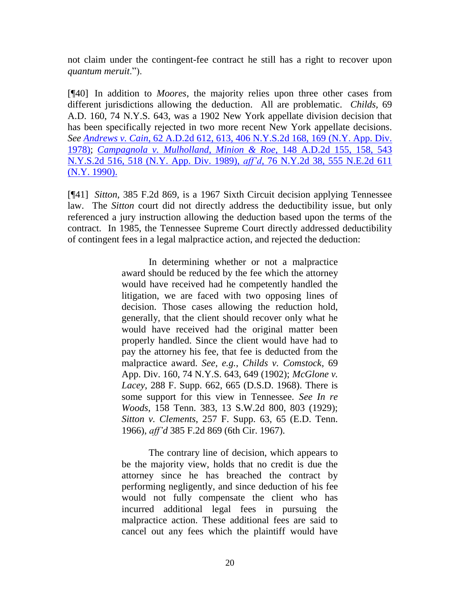not claim under the contingent-fee contract he still has a right to recover upon *quantum meruit*.").

[¶40] In addition to *Moores*, the majority relies upon three other cases from different jurisdictions allowing the deduction. All are problematic. *Childs,* 69 A.D. 160, 74 N.Y.S. 643, was a 1902 New York appellate division decision that has been specifically rejected in two more recent New York appellate decisions. *See Andrews v. Cain*, 62 A.D.2d 612, [613, 406 N.Y.S.2d 168, 169 \(N.Y. App. Div.](http://www.lexis.com/research/xlink?app=00075&view=full&searchtype=get&search=62+A.D.2d+613)  [1978\);](http://www.lexis.com/research/xlink?app=00075&view=full&searchtype=get&search=62+A.D.2d+613) *Campagnola [v. Mulholland, Minion & Roe](http://www.lexis.com/research/xlink?app=00075&view=full&searchtype=get&search=76+N.Y.2d+46)*, 148 A.D.2d 155, 158, 543 [N.Y.S.2d 516, 518 \(N.Y. App. Div. 1989\),](http://www.lexis.com/research/xlink?app=00075&view=full&searchtype=get&search=76+N.Y.2d+46) *aff'd*, 76 N.Y.2d 38, 555 N.E.2d 611 [\(N.Y. 1990\).](http://www.lexis.com/research/xlink?app=00075&view=full&searchtype=get&search=76+N.Y.2d+46) 

[¶41] *Sitton*, 385 F.2d 869, is a 1967 Sixth Circuit decision applying Tennessee law. The *Sitton* court did not directly address the deductibility issue, but only referenced a jury instruction allowing the deduction based upon the terms of the contract. In 1985, the Tennessee Supreme Court directly addressed deductibility of contingent fees in a legal malpractice action, and rejected the deduction:

> In determining whether or not a malpractice award should be reduced by the fee which the attorney would have received had he competently handled the litigation, we are faced with two opposing lines of decision. Those cases allowing the reduction hold, generally, that the client should recover only what he would have received had the original matter been properly handled. Since the client would have had to pay the attorney his fee, that fee is deducted from the malpractice award. *See, e.g.*, *Childs v. Comstock*, 69 App. Div. 160, 74 N.Y.S. 643, 649 (1902); *McGlone v. Lacey*, 288 F. Supp. 662, 665 (D.S.D. 1968). There is some support for this view in Tennessee. *See In re Woods*, 158 Tenn. 383, 13 S.W.2d 800, 803 (1929); *Sitton v. Clements*, 257 F. Supp. 63, 65 (E.D. Tenn. 1966), *aff'd* 385 F.2d 869 (6th Cir. 1967).

> The contrary line of decision, which appears to be the majority view, holds that no credit is due the attorney since he has breached the contract by performing negligently, and since deduction of his fee would not fully compensate the client who has incurred additional legal fees in pursuing the malpractice action. These additional fees are said to cancel out any fees which the plaintiff would have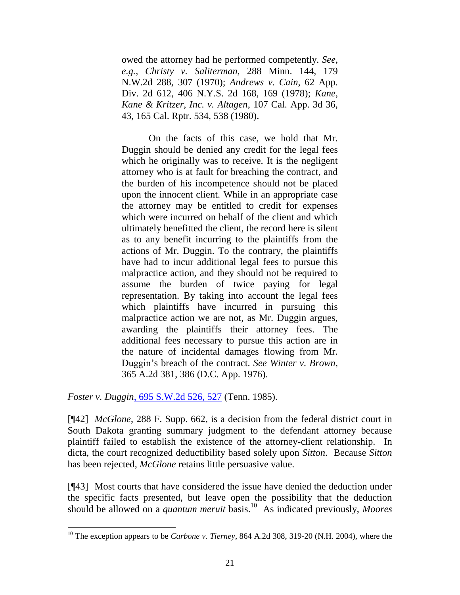owed the attorney had he performed competently. *See, e.g.*, *Christy v. Saliterman*, 288 Minn. 144, 179 N.W.2d 288, 307 (1970); *Andrews v. Cain*, 62 App. Div. 2d 612, 406 N.Y.S. 2d 168, 169 (1978); *Kane, Kane & Kritzer, Inc. v. Altagen*, 107 Cal. App. 3d 36, 43, 165 Cal. Rptr. 534, 538 (1980).

On the facts of this case, we hold that Mr. Duggin should be denied any credit for the legal fees which he originally was to receive. It is the negligent attorney who is at fault for breaching the contract, and the burden of his incompetence should not be placed upon the innocent client. While in an appropriate case the attorney may be entitled to credit for expenses which were incurred on behalf of the client and which ultimately benefitted the client, the record here is silent as to any benefit incurring to the plaintiffs from the actions of Mr. Duggin. To the contrary, the plaintiffs have had to incur additional legal fees to pursue this malpractice action, and they should not be required to assume the burden of twice paying for legal representation. By taking into account the legal fees which plaintiffs have incurred in pursuing this malpractice action we are not, as Mr. Duggin argues, awarding the plaintiffs their attorney fees. The additional fees necessary to pursue this action are in the nature of incidental damages flowing from Mr. Duggin"s breach of the contract. *See Winter v. Brown*, 365 A.2d 381, 386 (D.C. App. 1976).

*Foster v. Duggin*[, 695 S.W.2d 526,](http://www.lexis.com/research/xlink?app=00075&view=full&searchtype=get&search=695+S.W.2d+527) 527 (Tenn. 1985).

 $\overline{a}$ 

[¶42] *McGlone*, 288 F. Supp. 662, is a decision from the federal district court in South Dakota granting summary judgment to the defendant attorney because plaintiff failed to establish the existence of the attorney-client relationship. In dicta, the court recognized deductibility based solely upon *Sitton*. Because *Sitton* has been rejected, *McGlone* retains little persuasive value.

[¶43] Most courts that have considered the issue have denied the deduction under the specific facts presented, but leave open the possibility that the deduction should be allowed on a *quantum meruit* basis.<sup>10</sup> As indicated previously, *Moores* 

<sup>10</sup> The exception appears to be *Carbone v. Tierney*, 864 A.2d 308, 319-20 (N.H. 2004), where the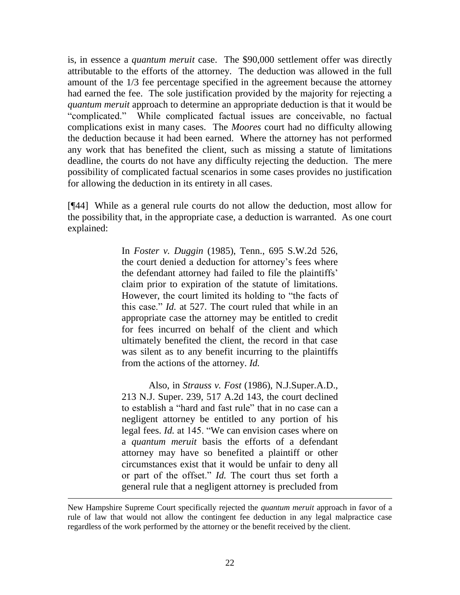is, in essence a *quantum meruit* case. The \$90,000 settlement offer was directly attributable to the efforts of the attorney. The deduction was allowed in the full amount of the 1/3 fee percentage specified in the agreement because the attorney had earned the fee. The sole justification provided by the majority for rejecting a *quantum meruit* approach to determine an appropriate deduction is that it would be "complicated." While complicated factual issues are conceivable, no factual complications exist in many cases. The *Moores* court had no difficulty allowing the deduction because it had been earned. Where the attorney has not performed any work that has benefited the client, such as missing a statute of limitations deadline, the courts do not have any difficulty rejecting the deduction. The mere possibility of complicated factual scenarios in some cases provides no justification for allowing the deduction in its entirety in all cases.

[¶44] While as a general rule courts do not allow the deduction, most allow for the possibility that, in the appropriate case, a deduction is warranted. As one court explained:

> In *Foster v. Duggin* (1985), Tenn., 695 S.W.2d 526, the court denied a deduction for attorney's fees where the defendant attorney had failed to file the plaintiffs" claim prior to expiration of the statute of limitations. However, the court limited its holding to "the facts of this case." *Id.* at 527. The court ruled that while in an appropriate case the attorney may be entitled to credit for fees incurred on behalf of the client and which ultimately benefited the client, the record in that case was silent as to any benefit incurring to the plaintiffs from the actions of the attorney. *Id.*

> Also, in *Strauss v. Fost* (1986), N.J.Super.A.D., 213 N.J. Super. 239, 517 A.2d 143, the court declined to establish a "hard and fast rule" that in no case can a negligent attorney be entitled to any portion of his legal fees. *Id.* at 145. "We can envision cases where on a *quantum meruit* basis the efforts of a defendant attorney may have so benefited a plaintiff or other circumstances exist that it would be unfair to deny all or part of the offset." *Id.* The court thus set forth a general rule that a negligent attorney is precluded from

New Hampshire Supreme Court specifically rejected the *quantum meruit* approach in favor of a rule of law that would not allow the contingent fee deduction in any legal malpractice case regardless of the work performed by the attorney or the benefit received by the client.